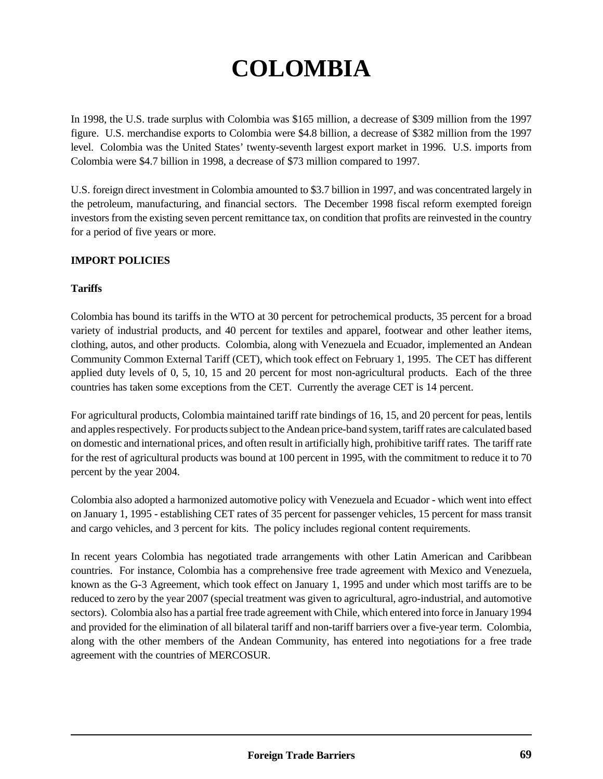# **COLOMBIA**

In 1998, the U.S. trade surplus with Colombia was \$165 million, a decrease of \$309 million from the 1997 figure. U.S. merchandise exports to Colombia were \$4.8 billion, a decrease of \$382 million from the 1997 level. Colombia was the United States' twenty-seventh largest export market in 1996. U.S. imports from Colombia were \$4.7 billion in 1998, a decrease of \$73 million compared to 1997.

U.S. foreign direct investment in Colombia amounted to \$3.7 billion in 1997, and was concentrated largely in the petroleum, manufacturing, and financial sectors. The December 1998 fiscal reform exempted foreign investors from the existing seven percent remittance tax, on condition that profits are reinvested in the country for a period of five years or more.

# **IMPORT POLICIES**

## **Tariffs**

Colombia has bound its tariffs in the WTO at 30 percent for petrochemical products, 35 percent for a broad variety of industrial products, and 40 percent for textiles and apparel, footwear and other leather items, clothing, autos, and other products. Colombia, along with Venezuela and Ecuador, implemented an Andean Community Common External Tariff (CET), which took effect on February 1, 1995. The CET has different applied duty levels of 0, 5, 10, 15 and 20 percent for most non-agricultural products. Each of the three countries has taken some exceptions from the CET. Currently the average CET is 14 percent.

For agricultural products, Colombia maintained tariff rate bindings of 16, 15, and 20 percent for peas, lentils and apples respectively. For products subject to the Andean price-band system, tariff rates are calculated based on domestic and international prices, and often result in artificially high, prohibitive tariff rates. The tariff rate for the rest of agricultural products was bound at 100 percent in 1995, with the commitment to reduce it to 70 percent by the year 2004.

Colombia also adopted a harmonized automotive policy with Venezuela and Ecuador - which went into effect on January 1, 1995 - establishing CET rates of 35 percent for passenger vehicles, 15 percent for mass transit and cargo vehicles, and 3 percent for kits. The policy includes regional content requirements.

In recent years Colombia has negotiated trade arrangements with other Latin American and Caribbean countries. For instance, Colombia has a comprehensive free trade agreement with Mexico and Venezuela, known as the G-3 Agreement, which took effect on January 1, 1995 and under which most tariffs are to be reduced to zero by the year 2007 (special treatment was given to agricultural, agro-industrial, and automotive sectors). Colombia also has a partial free trade agreement with Chile, which entered into force in January 1994 and provided for the elimination of all bilateral tariff and non-tariff barriers over a five-year term. Colombia, along with the other members of the Andean Community, has entered into negotiations for a free trade agreement with the countries of MERCOSUR.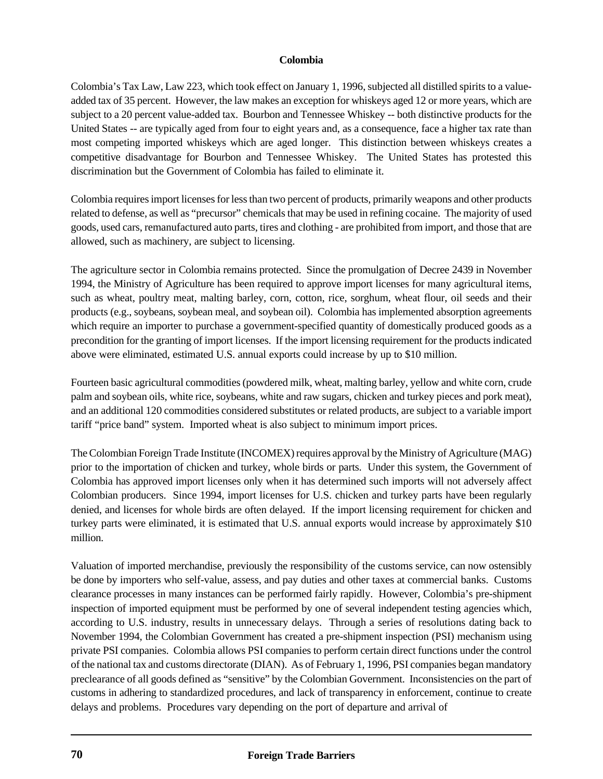Colombia's Tax Law, Law 223, which took effect on January 1, 1996, subjected all distilled spirits to a valueadded tax of 35 percent. However, the law makes an exception for whiskeys aged 12 or more years, which are subject to a 20 percent value-added tax. Bourbon and Tennessee Whiskey -- both distinctive products for the United States -- are typically aged from four to eight years and, as a consequence, face a higher tax rate than most competing imported whiskeys which are aged longer. This distinction between whiskeys creates a competitive disadvantage for Bourbon and Tennessee Whiskey. The United States has protested this discrimination but the Government of Colombia has failed to eliminate it.

Colombia requires import licenses for less than two percent of products, primarily weapons and other products related to defense, as well as "precursor" chemicals that may be used in refining cocaine. The majority of used goods, used cars, remanufactured auto parts, tires and clothing - are prohibited from import, and those that are allowed, such as machinery, are subject to licensing.

The agriculture sector in Colombia remains protected. Since the promulgation of Decree 2439 in November 1994, the Ministry of Agriculture has been required to approve import licenses for many agricultural items, such as wheat, poultry meat, malting barley, corn, cotton, rice, sorghum, wheat flour, oil seeds and their products (e.g., soybeans, soybean meal, and soybean oil). Colombia has implemented absorption agreements which require an importer to purchase a government-specified quantity of domestically produced goods as a precondition for the granting of import licenses. If the import licensing requirement for the products indicated above were eliminated, estimated U.S. annual exports could increase by up to \$10 million.

Fourteen basic agricultural commodities (powdered milk, wheat, malting barley, yellow and white corn, crude palm and soybean oils, white rice, soybeans, white and raw sugars, chicken and turkey pieces and pork meat), and an additional 120 commodities considered substitutes or related products, are subject to a variable import tariff "price band" system. Imported wheat is also subject to minimum import prices.

The Colombian Foreign Trade Institute (INCOMEX) requires approval by the Ministry of Agriculture (MAG) prior to the importation of chicken and turkey, whole birds or parts. Under this system, the Government of Colombia has approved import licenses only when it has determined such imports will not adversely affect Colombian producers. Since 1994, import licenses for U.S. chicken and turkey parts have been regularly denied, and licenses for whole birds are often delayed. If the import licensing requirement for chicken and turkey parts were eliminated, it is estimated that U.S. annual exports would increase by approximately \$10 million.

Valuation of imported merchandise, previously the responsibility of the customs service, can now ostensibly be done by importers who self-value, assess, and pay duties and other taxes at commercial banks. Customs clearance processes in many instances can be performed fairly rapidly. However, Colombia's pre-shipment inspection of imported equipment must be performed by one of several independent testing agencies which, according to U.S. industry, results in unnecessary delays. Through a series of resolutions dating back to November 1994, the Colombian Government has created a pre-shipment inspection (PSI) mechanism using private PSI companies. Colombia allows PSI companies to perform certain direct functions under the control of the national tax and customs directorate (DIAN). As of February 1, 1996, PSI companies began mandatory preclearance of all goods defined as "sensitive" by the Colombian Government. Inconsistencies on the part of customs in adhering to standardized procedures, and lack of transparency in enforcement, continue to create delays and problems. Procedures vary depending on the port of departure and arrival of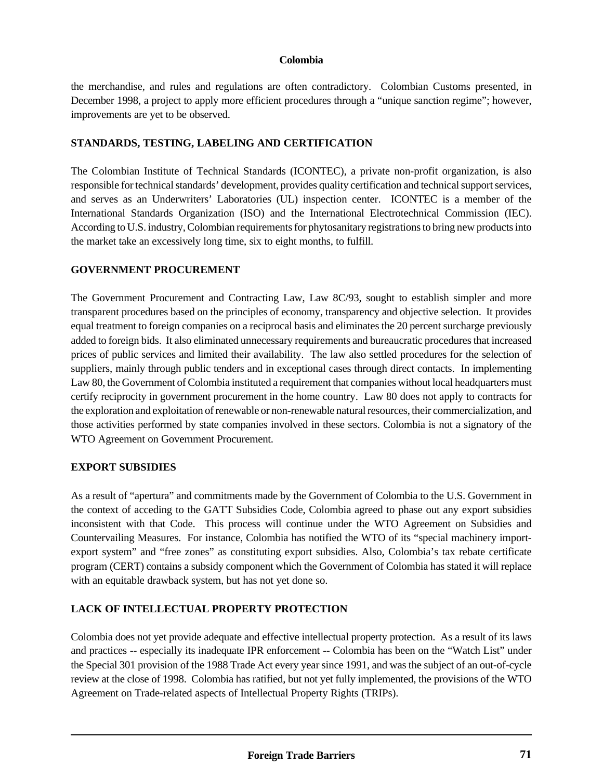the merchandise, and rules and regulations are often contradictory. Colombian Customs presented, in December 1998, a project to apply more efficient procedures through a "unique sanction regime"; however, improvements are yet to be observed.

## **STANDARDS, TESTING, LABELING AND CERTIFICATION**

The Colombian Institute of Technical Standards (ICONTEC), a private non-profit organization, is also responsible for technical standards' development, provides quality certification and technical support services, and serves as an Underwriters' Laboratories (UL) inspection center. ICONTEC is a member of the International Standards Organization (ISO) and the International Electrotechnical Commission (IEC). According to U.S. industry, Colombian requirements for phytosanitary registrations to bring new products into the market take an excessively long time, six to eight months, to fulfill.

## **GOVERNMENT PROCUREMENT**

The Government Procurement and Contracting Law, Law 8C/93, sought to establish simpler and more transparent procedures based on the principles of economy, transparency and objective selection. It provides equal treatment to foreign companies on a reciprocal basis and eliminates the 20 percent surcharge previously added to foreign bids. It also eliminated unnecessary requirements and bureaucratic procedures that increased prices of public services and limited their availability. The law also settled procedures for the selection of suppliers, mainly through public tenders and in exceptional cases through direct contacts. In implementing Law 80, the Government of Colombia instituted a requirement that companies without local headquarters must certify reciprocity in government procurement in the home country. Law 80 does not apply to contracts for the exploration and exploitation of renewable or non-renewable natural resources, their commercialization, and those activities performed by state companies involved in these sectors. Colombia is not a signatory of the WTO Agreement on Government Procurement.

## **EXPORT SUBSIDIES**

As a result of "apertura" and commitments made by the Government of Colombia to the U.S. Government in the context of acceding to the GATT Subsidies Code, Colombia agreed to phase out any export subsidies inconsistent with that Code. This process will continue under the WTO Agreement on Subsidies and Countervailing Measures. For instance, Colombia has notified the WTO of its "special machinery importexport system" and "free zones" as constituting export subsidies. Also, Colombia's tax rebate certificate program (CERT) contains a subsidy component which the Government of Colombia has stated it will replace with an equitable drawback system, but has not yet done so.

# **LACK OF INTELLECTUAL PROPERTY PROTECTION**

Colombia does not yet provide adequate and effective intellectual property protection. As a result of its laws and practices -- especially its inadequate IPR enforcement -- Colombia has been on the "Watch List" under the Special 301 provision of the 1988 Trade Act every year since 1991, and was the subject of an out-of-cycle review at the close of 1998. Colombia has ratified, but not yet fully implemented, the provisions of the WTO Agreement on Trade-related aspects of Intellectual Property Rights (TRIPs).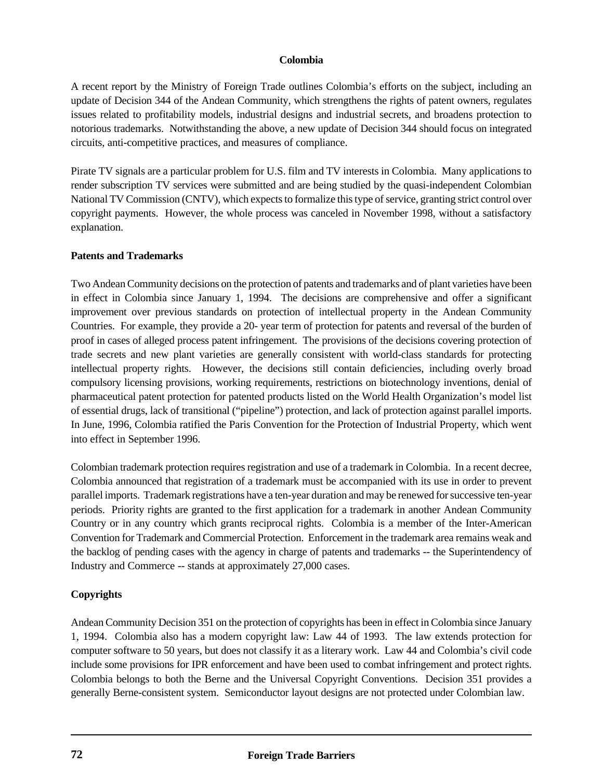A recent report by the Ministry of Foreign Trade outlines Colombia's efforts on the subject, including an update of Decision 344 of the Andean Community, which strengthens the rights of patent owners, regulates issues related to profitability models, industrial designs and industrial secrets, and broadens protection to notorious trademarks. Notwithstanding the above, a new update of Decision 344 should focus on integrated circuits, anti-competitive practices, and measures of compliance.

Pirate TV signals are a particular problem for U.S. film and TV interests in Colombia. Many applications to render subscription TV services were submitted and are being studied by the quasi-independent Colombian National TV Commission (CNTV), which expects to formalize this type of service, granting strict control over copyright payments. However, the whole process was canceled in November 1998, without a satisfactory explanation.

### **Patents and Trademarks**

Two Andean Community decisions on the protection of patents and trademarks and of plant varieties have been in effect in Colombia since January 1, 1994. The decisions are comprehensive and offer a significant improvement over previous standards on protection of intellectual property in the Andean Community Countries. For example, they provide a 20- year term of protection for patents and reversal of the burden of proof in cases of alleged process patent infringement. The provisions of the decisions covering protection of trade secrets and new plant varieties are generally consistent with world-class standards for protecting intellectual property rights. However, the decisions still contain deficiencies, including overly broad compulsory licensing provisions, working requirements, restrictions on biotechnology inventions, denial of pharmaceutical patent protection for patented products listed on the World Health Organization's model list of essential drugs, lack of transitional ("pipeline") protection, and lack of protection against parallel imports. In June, 1996, Colombia ratified the Paris Convention for the Protection of Industrial Property, which went into effect in September 1996.

Colombian trademark protection requires registration and use of a trademark in Colombia. In a recent decree, Colombia announced that registration of a trademark must be accompanied with its use in order to prevent parallel imports. Trademark registrations have a ten-year duration and may be renewed for successive ten-year periods. Priority rights are granted to the first application for a trademark in another Andean Community Country or in any country which grants reciprocal rights. Colombia is a member of the Inter-American Convention for Trademark and Commercial Protection. Enforcement in the trademark area remains weak and the backlog of pending cases with the agency in charge of patents and trademarks -- the Superintendency of Industry and Commerce -- stands at approximately 27,000 cases.

## **Copyrights**

Andean Community Decision 351 on the protection of copyrights has been in effect in Colombia since January 1, 1994. Colombia also has a modern copyright law: Law 44 of 1993. The law extends protection for computer software to 50 years, but does not classify it as a literary work. Law 44 and Colombia's civil code include some provisions for IPR enforcement and have been used to combat infringement and protect rights. Colombia belongs to both the Berne and the Universal Copyright Conventions. Decision 351 provides a generally Berne-consistent system. Semiconductor layout designs are not protected under Colombian law.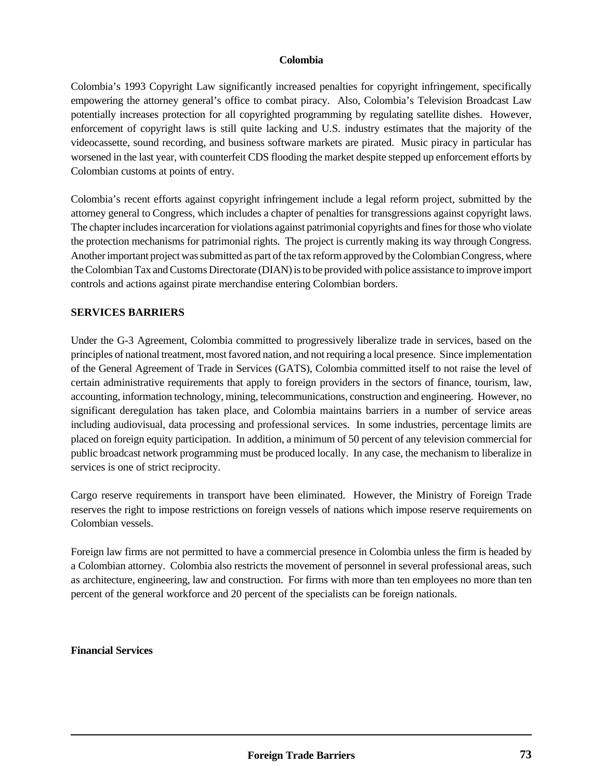Colombia's 1993 Copyright Law significantly increased penalties for copyright infringement, specifically empowering the attorney general's office to combat piracy. Also, Colombia's Television Broadcast Law potentially increases protection for all copyrighted programming by regulating satellite dishes. However, enforcement of copyright laws is still quite lacking and U.S. industry estimates that the majority of the videocassette, sound recording, and business software markets are pirated. Music piracy in particular has worsened in the last year, with counterfeit CDS flooding the market despite stepped up enforcement efforts by Colombian customs at points of entry.

Colombia's recent efforts against copyright infringement include a legal reform project, submitted by the attorney general to Congress, which includes a chapter of penalties for transgressions against copyright laws. The chapter includes incarceration for violations against patrimonial copyrights and fines for those who violate the protection mechanisms for patrimonial rights. The project is currently making its way through Congress. Another important project was submitted as part of the tax reform approved by the Colombian Congress, where the Colombian Tax and Customs Directorate (DIAN) is to be provided with police assistance to improve import controls and actions against pirate merchandise entering Colombian borders.

### **SERVICES BARRIERS**

Under the G-3 Agreement, Colombia committed to progressively liberalize trade in services, based on the principles of national treatment, most favored nation, and not requiring a local presence. Since implementation of the General Agreement of Trade in Services (GATS), Colombia committed itself to not raise the level of certain administrative requirements that apply to foreign providers in the sectors of finance, tourism, law, accounting, information technology, mining, telecommunications, construction and engineering. However, no significant deregulation has taken place, and Colombia maintains barriers in a number of service areas including audiovisual, data processing and professional services. In some industries, percentage limits are placed on foreign equity participation. In addition, a minimum of 50 percent of any television commercial for public broadcast network programming must be produced locally. In any case, the mechanism to liberalize in services is one of strict reciprocity.

Cargo reserve requirements in transport have been eliminated. However, the Ministry of Foreign Trade reserves the right to impose restrictions on foreign vessels of nations which impose reserve requirements on Colombian vessels.

Foreign law firms are not permitted to have a commercial presence in Colombia unless the firm is headed by a Colombian attorney. Colombia also restricts the movement of personnel in several professional areas, such as architecture, engineering, law and construction. For firms with more than ten employees no more than ten percent of the general workforce and 20 percent of the specialists can be foreign nationals.

**Financial Services**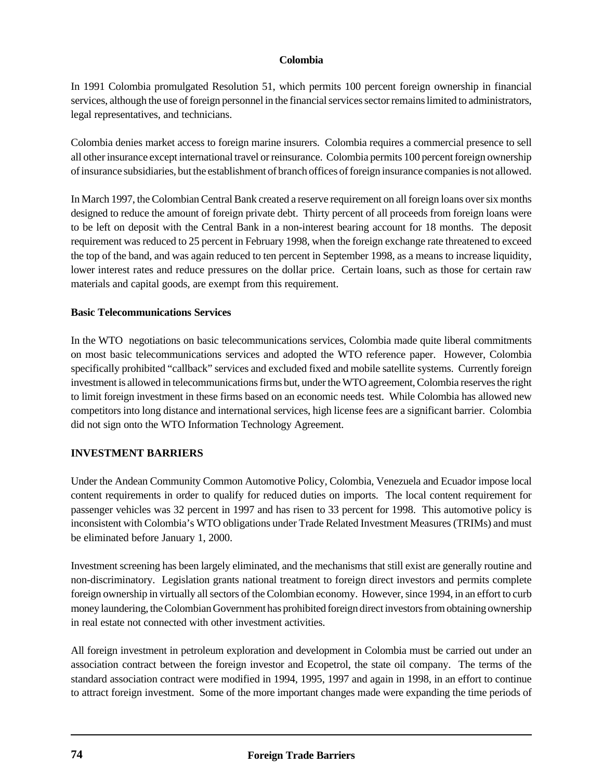In 1991 Colombia promulgated Resolution 51, which permits 100 percent foreign ownership in financial services, although the use of foreign personnel in the financial services sector remains limited to administrators, legal representatives, and technicians.

Colombia denies market access to foreign marine insurers. Colombia requires a commercial presence to sell all other insurance except international travel or reinsurance. Colombia permits 100 percent foreign ownership of insurance subsidiaries, but the establishment of branch offices of foreign insurance companies is not allowed.

In March 1997, the Colombian Central Bank created a reserve requirement on all foreign loans over six months designed to reduce the amount of foreign private debt. Thirty percent of all proceeds from foreign loans were to be left on deposit with the Central Bank in a non-interest bearing account for 18 months. The deposit requirement was reduced to 25 percent in February 1998, when the foreign exchange rate threatened to exceed the top of the band, and was again reduced to ten percent in September 1998, as a means to increase liquidity, lower interest rates and reduce pressures on the dollar price. Certain loans, such as those for certain raw materials and capital goods, are exempt from this requirement.

### **Basic Telecommunications Services**

In the WTO negotiations on basic telecommunications services, Colombia made quite liberal commitments on most basic telecommunications services and adopted the WTO reference paper. However, Colombia specifically prohibited "callback" services and excluded fixed and mobile satellite systems. Currently foreign investment is allowed in telecommunications firms but, under the WTO agreement, Colombia reserves the right to limit foreign investment in these firms based on an economic needs test. While Colombia has allowed new competitors into long distance and international services, high license fees are a significant barrier. Colombia did not sign onto the WTO Information Technology Agreement.

## **INVESTMENT BARRIERS**

Under the Andean Community Common Automotive Policy, Colombia, Venezuela and Ecuador impose local content requirements in order to qualify for reduced duties on imports. The local content requirement for passenger vehicles was 32 percent in 1997 and has risen to 33 percent for 1998. This automotive policy is inconsistent with Colombia's WTO obligations under Trade Related Investment Measures (TRIMs) and must be eliminated before January 1, 2000.

Investment screening has been largely eliminated, and the mechanisms that still exist are generally routine and non-discriminatory. Legislation grants national treatment to foreign direct investors and permits complete foreign ownership in virtually all sectors of the Colombian economy. However, since 1994, in an effort to curb money laundering, the Colombian Government has prohibited foreign direct investors from obtaining ownership in real estate not connected with other investment activities.

All foreign investment in petroleum exploration and development in Colombia must be carried out under an association contract between the foreign investor and Ecopetrol, the state oil company. The terms of the standard association contract were modified in 1994, 1995, 1997 and again in 1998, in an effort to continue to attract foreign investment. Some of the more important changes made were expanding the time periods of